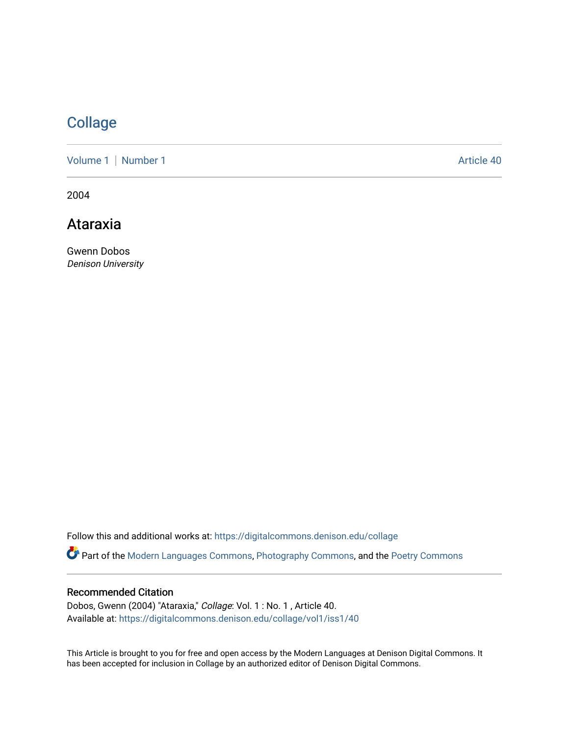## **[Collage](https://digitalcommons.denison.edu/collage)**

[Volume 1](https://digitalcommons.denison.edu/collage/vol1) | [Number 1](https://digitalcommons.denison.edu/collage/vol1/iss1) Article 40

2004

Ataraxia

Gwenn Dobos Denison University

Follow this and additional works at: [https://digitalcommons.denison.edu/collage](https://digitalcommons.denison.edu/collage?utm_source=digitalcommons.denison.edu%2Fcollage%2Fvol1%2Fiss1%2F40&utm_medium=PDF&utm_campaign=PDFCoverPages) 

Part of the [Modern Languages Commons,](http://network.bepress.com/hgg/discipline/1130?utm_source=digitalcommons.denison.edu%2Fcollage%2Fvol1%2Fiss1%2F40&utm_medium=PDF&utm_campaign=PDFCoverPages) [Photography Commons](http://network.bepress.com/hgg/discipline/1142?utm_source=digitalcommons.denison.edu%2Fcollage%2Fvol1%2Fiss1%2F40&utm_medium=PDF&utm_campaign=PDFCoverPages), and the [Poetry Commons](http://network.bepress.com/hgg/discipline/1153?utm_source=digitalcommons.denison.edu%2Fcollage%2Fvol1%2Fiss1%2F40&utm_medium=PDF&utm_campaign=PDFCoverPages)

## Recommended Citation

Dobos, Gwenn (2004) "Ataraxia," Collage: Vol. 1 : No. 1 , Article 40. Available at: [https://digitalcommons.denison.edu/collage/vol1/iss1/40](https://digitalcommons.denison.edu/collage/vol1/iss1/40?utm_source=digitalcommons.denison.edu%2Fcollage%2Fvol1%2Fiss1%2F40&utm_medium=PDF&utm_campaign=PDFCoverPages)

This Article is brought to you for free and open access by the Modern Languages at Denison Digital Commons. It has been accepted for inclusion in Collage by an authorized editor of Denison Digital Commons.